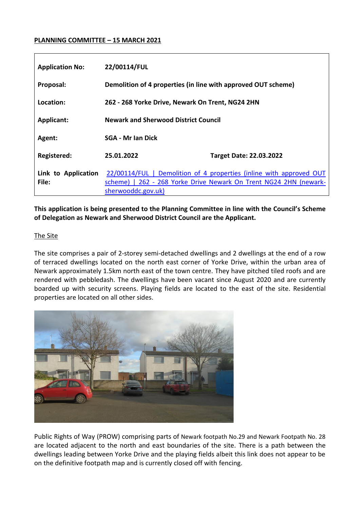## **PLANNING COMMITTEE – 15 MARCH 2021**

| <b>Application No:</b>       | 22/00114/FUL                                                                                                                                                   |                                |
|------------------------------|----------------------------------------------------------------------------------------------------------------------------------------------------------------|--------------------------------|
| Proposal:                    | Demolition of 4 properties (in line with approved OUT scheme)                                                                                                  |                                |
| Location:                    | 262 - 268 Yorke Drive, Newark On Trent, NG24 2HN                                                                                                               |                                |
| <b>Applicant:</b>            | <b>Newark and Sherwood District Council</b>                                                                                                                    |                                |
| Agent:                       | <b>SGA - Mr Ian Dick</b>                                                                                                                                       |                                |
| Registered:                  | 25.01.2022                                                                                                                                                     | <b>Target Date: 22.03.2022</b> |
| Link to Application<br>File: | 22/00114/FUL   Demolition of 4 properties (inline with approved OUT<br>scheme)   262 - 268 Yorke Drive Newark On Trent NG24 2HN (newark-<br>sherwooddc.gov.uk) |                                |

**This application is being presented to the Planning Committee in line with the Council's Scheme of Delegation as Newark and Sherwood District Council are the Applicant.**

### The Site

The site comprises a pair of 2-storey semi-detached dwellings and 2 dwellings at the end of a row of terraced dwellings located on the north east corner of Yorke Drive, within the urban area of Newark approximately 1.5km north east of the town centre. They have pitched tiled roofs and are rendered with pebbledash. The dwellings have been vacant since August 2020 and are currently boarded up with security screens. Playing fields are located to the east of the site. Residential properties are located on all other sides.



Public Rights of Way (PROW) comprising parts of Newark footpath No.29 and Newark Footpath No. 28 are located adjacent to the north and east boundaries of the site. There is a path between the dwellings leading between Yorke Drive and the playing fields albeit this link does not appear to be on the definitive footpath map and is currently closed off with fencing.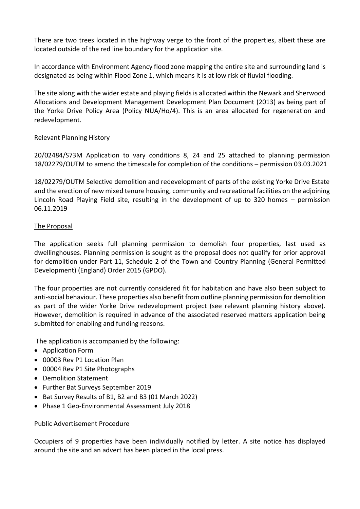There are two trees located in the highway verge to the front of the properties, albeit these are located outside of the red line boundary for the application site.

In accordance with Environment Agency flood zone mapping the entire site and surrounding land is designated as being within Flood Zone 1, which means it is at low risk of fluvial flooding.

The site along with the wider estate and playing fields is allocated within the Newark and Sherwood Allocations and Development Management Development Plan Document (2013) as being part of the Yorke Drive Policy Area (Policy NUA/Ho/4). This is an area allocated for regeneration and redevelopment.

### Relevant Planning History

20/02484/S73M Application to vary conditions 8, 24 and 25 attached to planning permission 18/02279/OUTM to amend the timescale for completion of the conditions – permission 03.03.2021

18/02279/OUTM Selective demolition and redevelopment of parts of the existing Yorke Drive Estate and the erection of new mixed tenure housing, community and recreational facilities on the adjoining Lincoln Road Playing Field site, resulting in the development of up to 320 homes – permission 06.11.2019

## The Proposal

The application seeks full planning permission to demolish four properties, last used as dwellinghouses. Planning permission is sought as the proposal does not qualify for prior approval for demolition under Part 11, Schedule 2 of the Town and Country Planning (General Permitted Development) (England) Order 2015 (GPDO).

The four properties are not currently considered fit for habitation and have also been subject to anti-social behaviour. These properties also benefit from outline planning permission for demolition as part of the wider Yorke Drive redevelopment project (see relevant planning history above). However, demolition is required in advance of the associated reserved matters application being submitted for enabling and funding reasons.

The application is accompanied by the following:

- Application Form
- 00003 Rev P1 Location Plan
- 00004 Rev P1 Site Photographs
- Demolition Statement
- Further Bat Surveys September 2019
- Bat Survey Results of B1, B2 and B3 (01 March 2022)
- Phase 1 Geo-Environmental Assessment July 2018

# Public Advertisement Procedure

Occupiers of 9 properties have been individually notified by letter. A site notice has displayed around the site and an advert has been placed in the local press.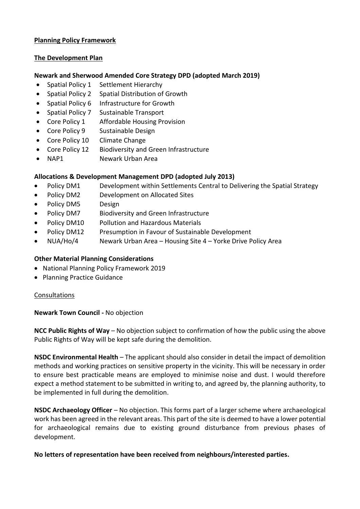## **Planning Policy Framework**

## **The Development Plan**

## **Newark and Sherwood Amended Core Strategy DPD (adopted March 2019)**

- Spatial Policy 1 Settlement Hierarchy
- Spatial Policy 2 Spatial Distribution of Growth
- Spatial Policy 6 Infrastructure for Growth
- Spatial Policy 7 Sustainable Transport
- Core Policy 1 Affordable Housing Provision
- Core Policy 9 Sustainable Design
- Core Policy 10 Climate Change
- Core Policy 12 Biodiversity and Green Infrastructure
- NAP1 Newark Urban Area

# **Allocations & Development Management DPD (adopted July 2013)**

- Policy DM1 Development within Settlements Central to Delivering the Spatial Strategy
- Policy DM2 Development on Allocated Sites
- Policy DM5 Design
- Policy DM7 Biodiversity and Green Infrastructure
- Policy DM10 Pollution and Hazardous Materials
- Policy DM12 Presumption in Favour of Sustainable Development
- NUA/Ho/4 Newark Urban Area Housing Site 4 Yorke Drive Policy Area

# **Other Material Planning Considerations**

- National Planning Policy Framework 2019
- Planning Practice Guidance

# Consultations

### **Newark Town Council -** No objection

**NCC Public Rights of Way** – No objection subject to confirmation of how the public using the above Public Rights of Way will be kept safe during the demolition.

**NSDC Environmental Health** – The applicant should also consider in detail the impact of demolition methods and working practices on sensitive property in the vicinity. This will be necessary in order to ensure best practicable means are employed to minimise noise and dust. I would therefore expect a method statement to be submitted in writing to, and agreed by, the planning authority, to be implemented in full during the demolition.

**NSDC Archaeology Officer** *–* No objection. This forms part of a larger scheme where archaeological work has been agreed in the relevant areas. This part of the site is deemed to have a lower potential for archaeological remains due to existing ground disturbance from previous phases of development.

**No letters of representation have been received from neighbours/interested parties.**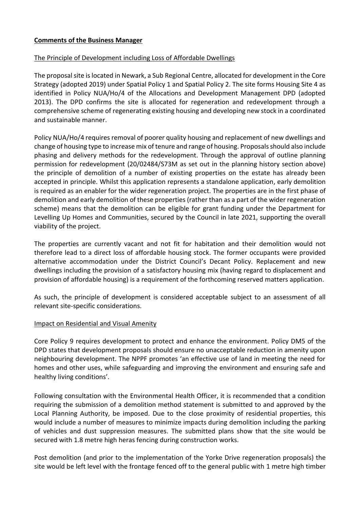## **Comments of the Business Manager**

## The Principle of Development including Loss of Affordable Dwellings

The proposal site is located in Newark, a Sub Regional Centre, allocated for development in the Core Strategy (adopted 2019) under Spatial Policy 1 and Spatial Policy 2. The site forms Housing Site 4 as identified in Policy NUA/Ho/4 of the Allocations and Development Management DPD (adopted 2013). The DPD confirms the site is allocated for regeneration and redevelopment through a comprehensive scheme of regenerating existing housing and developing new stock in a coordinated and sustainable manner.

Policy NUA/Ho/4 requires removal of poorer quality housing and replacement of new dwellings and change of housing type to increase mix of tenure and range of housing. Proposals should also include phasing and delivery methods for the redevelopment. Through the approval of outline planning permission for redevelopment (20/02484/S73M as set out in the planning history section above) the principle of demolition of a number of existing properties on the estate has already been accepted in principle. Whilst this application represents a standalone application, early demolition is required as an enabler for the wider regeneration project. The properties are in the first phase of demolition and early demolition of these properties (rather than as a part of the wider regeneration scheme) means that the demolition can be eligible for grant funding under the Department for Levelling Up Homes and Communities, secured by the Council in late 2021, supporting the overall viability of the project.

The properties are currently vacant and not fit for habitation and their demolition would not therefore lead to a direct loss of affordable housing stock. The former occupants were provided alternative accommodation under the District Council's Decant Policy. Replacement and new dwellings including the provision of a satisfactory housing mix (having regard to displacement and provision of affordable housing) is a requirement of the forthcoming reserved matters application.

As such, the principle of development is considered acceptable subject to an assessment of all relevant site-specific considerations.

### Impact on Residential and Visual Amenity

Core Policy 9 requires development to protect and enhance the environment. Policy DM5 of the DPD states that development proposals should ensure no unacceptable reduction in amenity upon neighbouring development. The NPPF promotes 'an effective use of land in meeting the need for homes and other uses, while safeguarding and improving the environment and ensuring safe and healthy living conditions'.

Following consultation with the Environmental Health Officer, it is recommended that a condition requiring the submission of a demolition method statement is submitted to and approved by the Local Planning Authority, be imposed. Due to the close proximity of residential properties, this would include a number of measures to minimize impacts during demolition including the parking of vehicles and dust suppression measures. The submitted plans show that the site would be secured with 1.8 metre high heras fencing during construction works.

Post demolition (and prior to the implementation of the Yorke Drive regeneration proposals) the site would be left level with the frontage fenced off to the general public with 1 metre high timber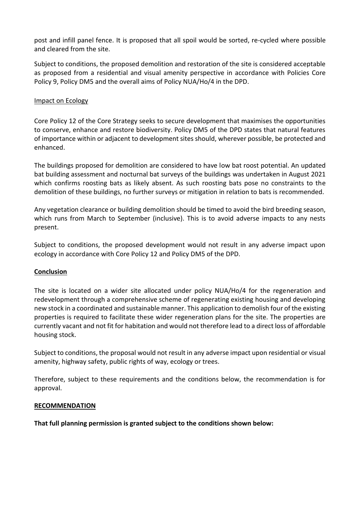post and infill panel fence. It is proposed that all spoil would be sorted, re-cycled where possible and cleared from the site.

Subject to conditions, the proposed demolition and restoration of the site is considered acceptable as proposed from a residential and visual amenity perspective in accordance with Policies Core Policy 9, Policy DM5 and the overall aims of Policy NUA/Ho/4 in the DPD.

## Impact on Ecology

Core Policy 12 of the Core Strategy seeks to secure development that maximises the opportunities to conserve, enhance and restore biodiversity. Policy DM5 of the DPD states that natural features of importance within or adjacent to development sites should, wherever possible, be protected and enhanced.

The buildings proposed for demolition are considered to have low bat roost potential. An updated bat building assessment and nocturnal bat surveys of the buildings was undertaken in August 2021 which confirms roosting bats as likely absent. As such roosting bats pose no constraints to the demolition of these buildings, no further surveys or mitigation in relation to bats is recommended.

Any vegetation clearance or building demolition should be timed to avoid the bird breeding season, which runs from March to September (inclusive). This is to avoid adverse impacts to any nests present.

Subject to conditions, the proposed development would not result in any adverse impact upon ecology in accordance with Core Policy 12 and Policy DM5 of the DPD.

### **Conclusion**

The site is located on a wider site allocated under policy NUA/Ho/4 for the regeneration and redevelopment through a comprehensive scheme of regenerating existing housing and developing new stock in a coordinated and sustainable manner. This application to demolish four of the existing properties is required to facilitate these wider regeneration plans for the site. The properties are currently vacant and not fit for habitation and would not therefore lead to a direct loss of affordable housing stock.

Subject to conditions, the proposal would not result in any adverse impact upon residential or visual amenity, highway safety, public rights of way, ecology or trees.

Therefore, subject to these requirements and the conditions below, the recommendation is for approval.

### **RECOMMENDATION**

**That full planning permission is granted subject to the conditions shown below:**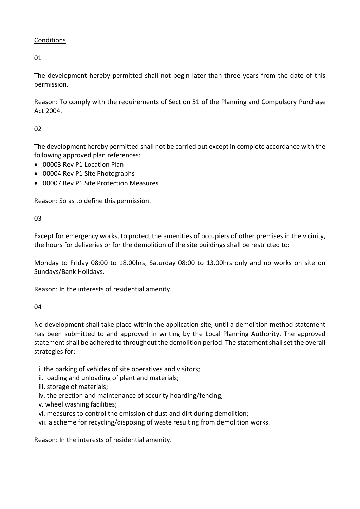# Conditions

01

The development hereby permitted shall not begin later than three years from the date of this permission.

Reason: To comply with the requirements of Section 51 of the Planning and Compulsory Purchase Act 2004.

# 02

The development hereby permitted shall not be carried out except in complete accordance with the following approved plan references:

- 00003 Rev P1 Location Plan
- 00004 Rev P1 Site Photographs
- 00007 Rev P1 Site Protection Measures

Reason: So as to define this permission.

03

Except for emergency works, to protect the amenities of occupiers of other premises in the vicinity, the hours for deliveries or for the demolition of the site buildings shall be restricted to:

Monday to Friday 08:00 to 18.00hrs, Saturday 08:00 to 13.00hrs only and no works on site on Sundays/Bank Holidays.

Reason: In the interests of residential amenity.

# 04

No development shall take place within the application site, until a demolition method statement has been submitted to and approved in writing by the Local Planning Authority. The approved statement shall be adhered to throughout the demolition period. The statement shall set the overall strategies for:

- i. the parking of vehicles of site operatives and visitors;
- ii. loading and unloading of plant and materials;
- iii. storage of materials;
- iv. the erection and maintenance of security hoarding/fencing;
- v. wheel washing facilities;
- vi. measures to control the emission of dust and dirt during demolition;
- vii. a scheme for recycling/disposing of waste resulting from demolition works.

Reason: In the interests of residential amenity.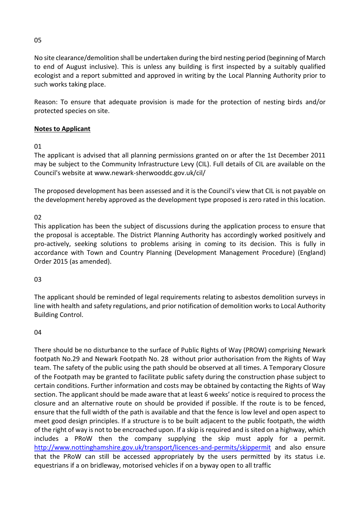No site clearance/demolition shall be undertaken during the bird nesting period (beginning of March to end of August inclusive). This is unless any building is first inspected by a suitably qualified ecologist and a report submitted and approved in writing by the Local Planning Authority prior to such works taking place.

Reason: To ensure that adequate provision is made for the protection of nesting birds and/or protected species on site.

# **Notes to Applicant**

01

The applicant is advised that all planning permissions granted on or after the 1st December 2011 may be subject to the Community Infrastructure Levy (CIL). Full details of CIL are available on the Council's website at www.newark-sherwooddc.gov.uk/cil/

The proposed development has been assessed and it is the Council's view that CIL is not payable on the development hereby approved as the development type proposed is zero rated in this location.

02

This application has been the subject of discussions during the application process to ensure that the proposal is acceptable. The District Planning Authority has accordingly worked positively and pro-actively, seeking solutions to problems arising in coming to its decision. This is fully in accordance with Town and Country Planning (Development Management Procedure) (England) Order 2015 (as amended).

03

The applicant should be reminded of legal requirements relating to asbestos demolition surveys in line with health and safety regulations, and prior notification of demolition works to Local Authority Building Control.

# 04

There should be no disturbance to the surface of Public Rights of Way (PROW) comprising Newark footpath No.29 and Newark Footpath No. 28 without prior authorisation from the Rights of Way team. The safety of the public using the path should be observed at all times. A Temporary Closure of the Footpath may be granted to facilitate public safety during the construction phase subject to certain conditions. Further information and costs may be obtained by contacting the Rights of Way section. The applicant should be made aware that at least 6 weeks' notice is required to process the closure and an alternative route on should be provided if possible. If the route is to be fenced, ensure that the full width of the path is available and that the fence is low level and open aspect to meet good design principles. If a structure is to be built adjacent to the public footpath, the width of the right of way is not to be encroached upon. If a skip is required and is sited on a highway, which includes a PRoW then the company supplying the skip must apply for a permit. <http://www.nottinghamshire.gov.uk/transport/licences-and-permits/skippermit> and also ensure that the PRoW can still be accessed appropriately by the users permitted by its status i.e. equestrians if a on bridleway, motorised vehicles if on a byway open to all traffic

05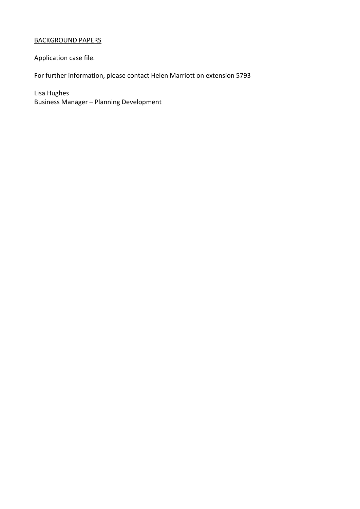# BACKGROUND PAPERS

Application case file.

For further information, please contact Helen Marriott on extension 5793

Lisa Hughes Business Manager – Planning Development